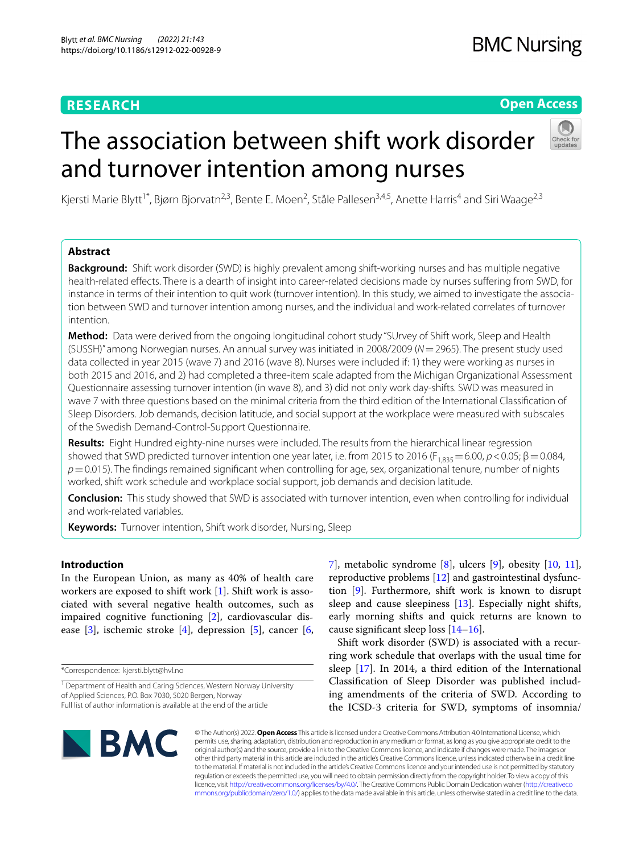# **RESEARCH**

# **Open Access**

# The association between shift work disorder and turnover intention among nurses



Kjersti Marie Blytt<sup>1\*</sup>, Bjørn Bjorvatn<sup>2,3</sup>, Bente E. Moen<sup>2</sup>, Ståle Pallesen<sup>3,4,5</sup>, Anette Harris<sup>4</sup> and Siri Waage<sup>2,3</sup>

## **Abstract**

**Background:** Shift work disorder (SWD) is highly prevalent among shift-working nurses and has multiple negative health-related efects. There is a dearth of insight into career-related decisions made by nurses sufering from SWD, for instance in terms of their intention to quit work (turnover intention). In this study, we aimed to investigate the association between SWD and turnover intention among nurses, and the individual and work-related correlates of turnover intention.

**Method:** Data were derived from the ongoing longitudinal cohort study "SUrvey of Shift work, Sleep and Health (SUSSH)" among Norwegian nurses. An annual survey was initiated in 2008/2009 (*N*=2965). The present study used data collected in year 2015 (wave 7) and 2016 (wave 8). Nurses were included if: 1) they were working as nurses in both 2015 and 2016, and 2) had completed a three-item scale adapted from the Michigan Organizational Assessment Questionnaire assessing turnover intention (in wave 8), and 3) did not only work day-shifts. SWD was measured in wave 7 with three questions based on the minimal criteria from the third edition of the International Classifcation of Sleep Disorders. Job demands, decision latitude, and social support at the workplace were measured with subscales of the Swedish Demand-Control-Support Questionnaire.

**Results:** Eight Hundred eighty-nine nurses were included. The results from the hierarchical linear regression showed that SWD predicted turnover intention one year later, i.e. from 2015 to 2016 (F<sub>1,835</sub> = 6.00,  $p$  < 0.05;  $\beta$  = 0.084, *p*=0.015). The fndings remained signifcant when controlling for age, sex, organizational tenure, number of nights worked, shift work schedule and workplace social support, job demands and decision latitude.

**Conclusion:** This study showed that SWD is associated with turnover intention, even when controlling for individual and work-related variables.

**Keywords:** Turnover intention, Shift work disorder, Nursing, Sleep

## **Introduction**

In the European Union, as many as 40% of health care workers are exposed to shift work [[1\]](#page-5-0). Shift work is associated with several negative health outcomes, such as impaired cognitive functioning [[2\]](#page-5-1), cardiovascular disease  $[3]$  $[3]$ , ischemic stroke  $[4]$  $[4]$ , depression  $[5]$  $[5]$  $[5]$ , cancer  $[6]$  $[6]$ ,

\*Correspondence: kjersti.blytt@hvl.no

[7\]](#page-6-1), metabolic syndrome [\[8](#page-6-2)], ulcers [[9\]](#page-6-3), obesity [\[10](#page-6-4), [11](#page-6-5)], reproductive problems [[12\]](#page-6-6) and gastrointestinal dysfunction [\[9](#page-6-3)]. Furthermore, shift work is known to disrupt sleep and cause sleepiness [\[13\]](#page-6-7). Especially night shifts, early morning shifts and quick returns are known to cause signifcant sleep loss [\[14–](#page-6-8)[16\]](#page-6-9).

Shift work disorder (SWD) is associated with a recurring work schedule that overlaps with the usual time for sleep [[17](#page-6-10)]. In 2014, a third edition of the International Classifcation of Sleep Disorder was published including amendments of the criteria of SWD. According to the ICSD-3 criteria for SWD, symptoms of insomnia/



© The Author(s) 2022. **Open Access** This article is licensed under a Creative Commons Attribution 4.0 International License, which permits use, sharing, adaptation, distribution and reproduction in any medium or format, as long as you give appropriate credit to the original author(s) and the source, provide a link to the Creative Commons licence, and indicate if changes were made. The images or other third party material in this article are included in the article's Creative Commons licence, unless indicated otherwise in a credit line to the material. If material is not included in the article's Creative Commons licence and your intended use is not permitted by statutory regulation or exceeds the permitted use, you will need to obtain permission directly from the copyright holder. To view a copy of this licence, visit [http://creativecommons.org/licenses/by/4.0/.](http://creativecommons.org/licenses/by/4.0/) The Creative Commons Public Domain Dedication waiver ([http://creativeco](http://creativecommons.org/publicdomain/zero/1.0/) [mmons.org/publicdomain/zero/1.0/](http://creativecommons.org/publicdomain/zero/1.0/)) applies to the data made available in this article, unless otherwise stated in a credit line to the data.

<sup>&</sup>lt;sup>1</sup> Department of Health and Caring Sciences, Western Norway University of Applied Sciences, P.O. Box 7030, 5020 Bergen, Norway Full list of author information is available at the end of the article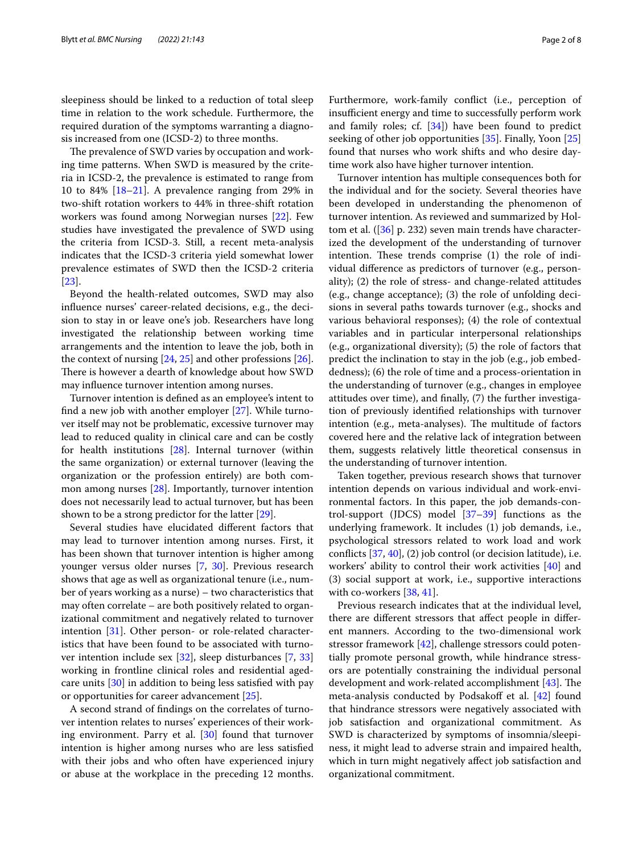sleepiness should be linked to a reduction of total sleep time in relation to the work schedule. Furthermore, the required duration of the symptoms warranting a diagnosis increased from one (ICSD-2) to three months.

The prevalence of SWD varies by occupation and working time patterns. When SWD is measured by the criteria in ICSD-2, the prevalence is estimated to range from 10 to 84% [\[18](#page-6-11)[–21\]](#page-6-12). A prevalence ranging from 29% in two-shift rotation workers to 44% in three-shift rotation workers was found among Norwegian nurses [\[22\]](#page-6-13). Few studies have investigated the prevalence of SWD using the criteria from ICSD-3. Still, a recent meta-analysis indicates that the ICSD-3 criteria yield somewhat lower prevalence estimates of SWD then the ICSD-2 criteria [[23\]](#page-6-14).

Beyond the health-related outcomes, SWD may also infuence nurses' career-related decisions, e.g., the decision to stay in or leave one's job. Researchers have long investigated the relationship between working time arrangements and the intention to leave the job, both in the context of nursing [[24,](#page-6-15) [25](#page-6-16)] and other professions [\[26](#page-6-17)]. There is however a dearth of knowledge about how SWD may infuence turnover intention among nurses.

Turnover intention is defned as an employee's intent to fnd a new job with another employer [\[27\]](#page-6-18). While turnover itself may not be problematic, excessive turnover may lead to reduced quality in clinical care and can be costly for health institutions [[28](#page-6-19)]. Internal turnover (within the same organization) or external turnover (leaving the organization or the profession entirely) are both common among nurses [\[28](#page-6-19)]. Importantly, turnover intention does not necessarily lead to actual turnover, but has been shown to be a strong predictor for the latter [\[29](#page-6-20)].

Several studies have elucidated diferent factors that may lead to turnover intention among nurses. First, it has been shown that turnover intention is higher among younger versus older nurses [[7,](#page-6-1) [30](#page-6-21)]. Previous research shows that age as well as organizational tenure (i.e., number of years working as a nurse) – two characteristics that may often correlate – are both positively related to organizational commitment and negatively related to turnover intention [\[31](#page-6-22)]. Other person- or role-related characteristics that have been found to be associated with turnover intention include sex [\[32](#page-6-23)], sleep disturbances [\[7,](#page-6-1) [33](#page-6-24)] working in frontline clinical roles and residential agedcare units [[30\]](#page-6-21) in addition to being less satisfed with pay or opportunities for career advancement [[25](#page-6-16)].

A second strand of fndings on the correlates of turnover intention relates to nurses' experiences of their working environment. Parry et al. [[30](#page-6-21)] found that turnover intention is higher among nurses who are less satisfed with their jobs and who often have experienced injury or abuse at the workplace in the preceding 12 months.

Furthermore, work-family confict (i.e., perception of insufficient energy and time to successfully perform work and family roles; cf. [[34\]](#page-6-25)) have been found to predict seeking of other job opportunities [[35](#page-6-26)]. Finally, Yoon [[25](#page-6-16)] found that nurses who work shifts and who desire daytime work also have higher turnover intention.

Turnover intention has multiple consequences both for the individual and for the society. Several theories have been developed in understanding the phenomenon of turnover intention. As reviewed and summarized by Holtom et al. ([\[36](#page-6-27)] p. 232) seven main trends have characterized the development of the understanding of turnover intention. These trends comprise (1) the role of individual diference as predictors of turnover (e.g., personality); (2) the role of stress- and change-related attitudes (e.g., change acceptance); (3) the role of unfolding decisions in several paths towards turnover (e.g., shocks and various behavioral responses); (4) the role of contextual variables and in particular interpersonal relationships (e.g., organizational diversity); (5) the role of factors that predict the inclination to stay in the job (e.g., job embeddedness); (6) the role of time and a process-orientation in the understanding of turnover (e.g., changes in employee attitudes over time), and fnally, (7) the further investigation of previously identifed relationships with turnover intention (e.g., meta-analyses). The multitude of factors covered here and the relative lack of integration between them, suggests relatively little theoretical consensus in the understanding of turnover intention.

Taken together, previous research shows that turnover intention depends on various individual and work-environmental factors. In this paper, the job demands-control-support (JDCS) model [[37](#page-6-28)[–39](#page-6-29)] functions as the underlying framework. It includes (1) job demands, i.e., psychological stressors related to work load and work conficts [[37,](#page-6-28) [40](#page-6-30)], (2) job control (or decision latitude), i.e. workers' ability to control their work activities [[40\]](#page-6-30) and (3) social support at work, i.e., supportive interactions with co-workers [[38](#page-6-31), [41\]](#page-6-32).

Previous research indicates that at the individual level, there are diferent stressors that afect people in diferent manners. According to the two-dimensional work stressor framework [\[42](#page-6-33)], challenge stressors could potentially promote personal growth, while hindrance stressors are potentially constraining the individual personal development and work-related accomplishment [\[43](#page-6-34)]. The meta-analysis conducted by Podsakoff et al.  $[42]$  $[42]$  found that hindrance stressors were negatively associated with job satisfaction and organizational commitment. As SWD is characterized by symptoms of insomnia/sleepiness, it might lead to adverse strain and impaired health, which in turn might negatively affect job satisfaction and organizational commitment.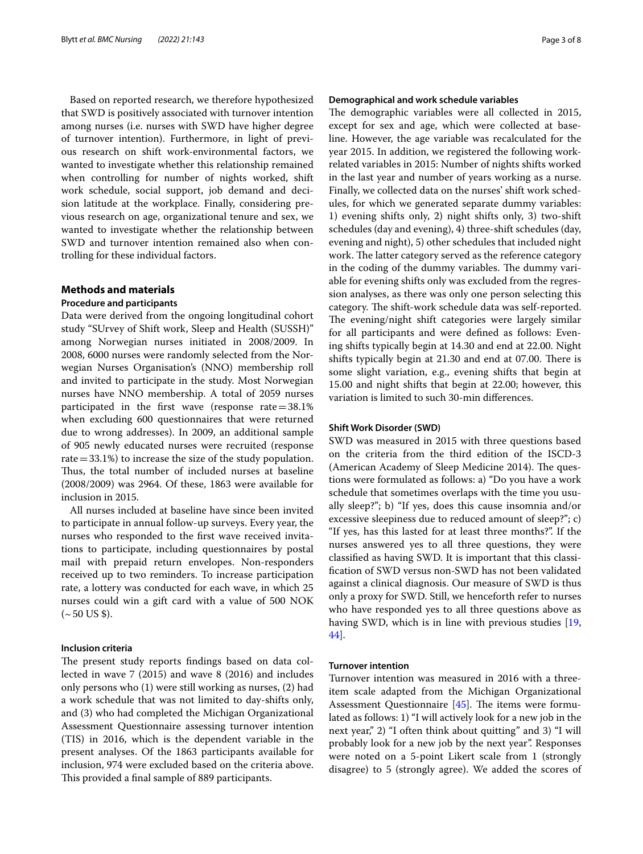Based on reported research, we therefore hypothesized that SWD is positively associated with turnover intention among nurses (i.e. nurses with SWD have higher degree of turnover intention). Furthermore, in light of previous research on shift work-environmental factors, we wanted to investigate whether this relationship remained when controlling for number of nights worked, shift work schedule, social support, job demand and decision latitude at the workplace. Finally, considering previous research on age, organizational tenure and sex, we wanted to investigate whether the relationship between SWD and turnover intention remained also when controlling for these individual factors.

## **Methods and materials**

#### **Procedure and participants**

Data were derived from the ongoing longitudinal cohort study "SUrvey of Shift work, Sleep and Health (SUSSH)" among Norwegian nurses initiated in 2008/2009. In 2008, 6000 nurses were randomly selected from the Norwegian Nurses Organisation's (NNO) membership roll and invited to participate in the study. Most Norwegian nurses have NNO membership. A total of 2059 nurses participated in the first wave (response rate $=38.1\%$ ) when excluding 600 questionnaires that were returned due to wrong addresses). In 2009, an additional sample of 905 newly educated nurses were recruited (response rate  $=$  33.1%) to increase the size of the study population. Thus, the total number of included nurses at baseline (2008/2009) was 2964. Of these, 1863 were available for inclusion in 2015.

All nurses included at baseline have since been invited to participate in annual follow-up surveys. Every year, the nurses who responded to the frst wave received invitations to participate, including questionnaires by postal mail with prepaid return envelopes. Non-responders received up to two reminders. To increase participation rate, a lottery was conducted for each wave, in which 25 nurses could win a gift card with a value of 500 NOK  $({\sim}50 \text{ US }$ \$).

## **Inclusion criteria**

The present study reports findings based on data collected in wave 7 (2015) and wave 8 (2016) and includes only persons who (1) were still working as nurses, (2) had a work schedule that was not limited to day-shifts only, and (3) who had completed the Michigan Organizational Assessment Questionnaire assessing turnover intention (TIS) in 2016, which is the dependent variable in the present analyses. Of the 1863 participants available for inclusion, 974 were excluded based on the criteria above. This provided a final sample of 889 participants.

## **Demographical and work schedule variables**

The demographic variables were all collected in 2015, except for sex and age, which were collected at baseline. However, the age variable was recalculated for the year 2015. In addition, we registered the following workrelated variables in 2015: Number of nights shifts worked in the last year and number of years working as a nurse. Finally, we collected data on the nurses' shift work schedules, for which we generated separate dummy variables: 1) evening shifts only, 2) night shifts only, 3) two-shift schedules (day and evening), 4) three-shift schedules (day, evening and night), 5) other schedules that included night work. The latter category served as the reference category in the coding of the dummy variables. The dummy variable for evening shifts only was excluded from the regression analyses, as there was only one person selecting this category. The shift-work schedule data was self-reported. The evening/night shift categories were largely similar for all participants and were defned as follows: Evening shifts typically begin at 14.30 and end at 22.00. Night shifts typically begin at 21.30 and end at 07.00. There is some slight variation, e.g., evening shifts that begin at 15.00 and night shifts that begin at 22.00; however, this variation is limited to such 30-min diferences.

## **Shift Work Disorder (SWD)**

SWD was measured in 2015 with three questions based on the criteria from the third edition of the ISCD-3 (American Academy of Sleep Medicine 2014). The questions were formulated as follows: a) "Do you have a work schedule that sometimes overlaps with the time you usually sleep?"; b) "If yes, does this cause insomnia and/or excessive sleepiness due to reduced amount of sleep?"; c) "If yes, has this lasted for at least three months?". If the nurses answered yes to all three questions, they were classifed as having SWD. It is important that this classifcation of SWD versus non-SWD has not been validated against a clinical diagnosis. Our measure of SWD is thus only a proxy for SWD. Still, we henceforth refer to nurses who have responded yes to all three questions above as having SWD, which is in line with previous studies [[19](#page-6-35), [44\]](#page-6-36).

## **Turnover intention**

Turnover intention was measured in 2016 with a threeitem scale adapted from the Michigan Organizational Assessment Questionnaire  $[45]$  $[45]$ . The items were formulated as follows: 1) "I will actively look for a new job in the next year," 2) "I often think about quitting" and 3) "I will probably look for a new job by the next year". Responses were noted on a 5-point Likert scale from 1 (strongly disagree) to 5 (strongly agree). We added the scores of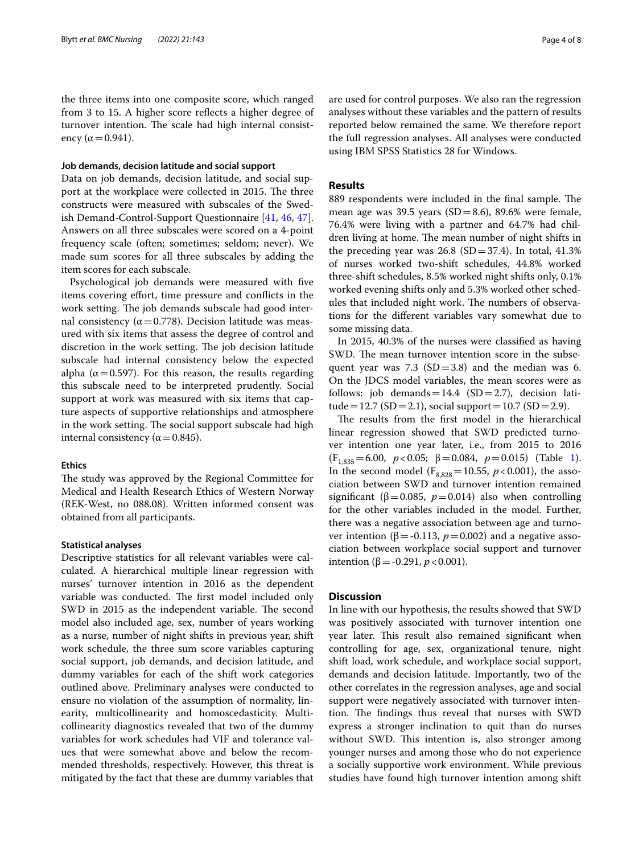the three items into one composite score, which ranged from 3 to 15. A higher score refects a higher degree of turnover intention. The scale had high internal consistency ( $\alpha$  = 0.941).

### **Job demands, decision latitude and social support**

Data on job demands, decision latitude, and social support at the workplace were collected in 2015. The three constructs were measured with subscales of the Swedish Demand-Control-Support Questionnaire [[41,](#page-6-32) [46](#page-6-38), [47](#page-6-39)]. Answers on all three subscales were scored on a 4-point frequency scale (often; sometimes; seldom; never). We made sum scores for all three subscales by adding the item scores for each subscale.

Psychological job demands were measured with fve items covering effort, time pressure and conflicts in the work setting. The job demands subscale had good internal consistency ( $α = 0.778$ ). Decision latitude was measured with six items that assess the degree of control and discretion in the work setting. The job decision latitude subscale had internal consistency below the expected alpha ( $\alpha$  = 0.597). For this reason, the results regarding this subscale need to be interpreted prudently. Social support at work was measured with six items that capture aspects of supportive relationships and atmosphere in the work setting. The social support subscale had high internal consistency ( $\alpha$  = 0.845).

## **Ethics**

The study was approved by the Regional Committee for Medical and Health Research Ethics of Western Norway (REK-West, no 088.08). Written informed consent was obtained from all participants.

#### **Statistical analyses**

Descriptive statistics for all relevant variables were calculated. A hierarchical multiple linear regression with nurses' turnover intention in 2016 as the dependent variable was conducted. The first model included only SWD in 2015 as the independent variable. The second model also included age, sex, number of years working as a nurse, number of night shifts in previous year, shift work schedule, the three sum score variables capturing social support, job demands, and decision latitude, and dummy variables for each of the shift work categories outlined above. Preliminary analyses were conducted to ensure no violation of the assumption of normality, linearity, multicollinearity and homoscedasticity. Multicollinearity diagnostics revealed that two of the dummy variables for work schedules had VIF and tolerance values that were somewhat above and below the recommended thresholds, respectively. However, this threat is mitigated by the fact that these are dummy variables that are used for control purposes. We also ran the regression analyses without these variables and the pattern of results reported below remained the same. We therefore report the full regression analyses. All analyses were conducted using IBM SPSS Statistics 28 for Windows.

## **Results**

889 respondents were included in the final sample. The mean age was 39.5 years ( $SD = 8.6$ ), 89.6% were female, 76.4% were living with a partner and 64.7% had children living at home. The mean number of night shifts in the preceding year was  $26.8$  (SD=37.4). In total, 41.3% of nurses worked two-shift schedules, 44.8% worked three-shift schedules, 8.5% worked night shifts only, 0.1% worked evening shifts only and 5.3% worked other schedules that included night work. The numbers of observations for the diferent variables vary somewhat due to some missing data.

In 2015, 40.3% of the nurses were classifed as having SWD. The mean turnover intention score in the subsequent year was 7.3 (SD = 3.8) and the median was 6. On the JDCS model variables, the mean scores were as follows: job demands=14.4 (SD=2.7), decision latitude = 12.7 (SD = 2.1), social support = 10.7 (SD = 2.9).

The results from the first model in the hierarchical linear regression showed that SWD predicted turnover intention one year later, i.e., from 2015 to 2016 (F1,835=6.00, *p*<0.05; β=0.084, *p*=0.015) (Table [1](#page-4-0)). In the second model ( $F_{8,828}$ =10.55, *p* < 0.001), the association between SWD and turnover intention remained significant ( $\beta$ =0.085,  $p$ =0.014) also when controlling for the other variables included in the model. Further, there was a negative association between age and turnover intention ( $β = -0.113$ ,  $p = 0.002$ ) and a negative association between workplace social support and turnover intention (β = -0.291, *p* < 0.001).

## **Discussion**

In line with our hypothesis, the results showed that SWD was positively associated with turnover intention one year later. This result also remained significant when controlling for age, sex, organizational tenure, night shift load, work schedule, and workplace social support, demands and decision latitude. Importantly, two of the other correlates in the regression analyses, age and social support were negatively associated with turnover intention. The findings thus reveal that nurses with SWD express a stronger inclination to quit than do nurses without SWD. This intention is, also stronger among younger nurses and among those who do not experience a socially supportive work environment. While previous studies have found high turnover intention among shift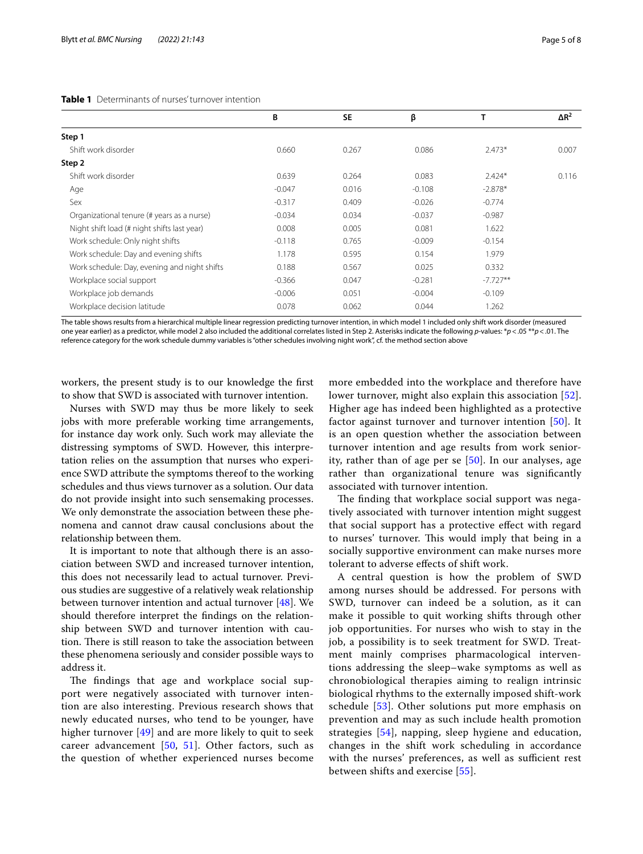#### <span id="page-4-0"></span>**Table 1** Determinants of nurses' turnover intention

|                                              | B        | <b>SE</b> | β        |            | $\Delta$ R <sup>2</sup> |
|----------------------------------------------|----------|-----------|----------|------------|-------------------------|
| Step 1                                       |          |           |          |            |                         |
| Shift work disorder                          | 0.660    | 0.267     | 0.086    | $2.473*$   | 0.007                   |
| Step 2                                       |          |           |          |            |                         |
| Shift work disorder                          | 0.639    | 0.264     | 0.083    | $2.424*$   | 0.116                   |
| Age                                          | $-0.047$ | 0.016     | $-0.108$ | $-2.878*$  |                         |
| Sex                                          | $-0.317$ | 0.409     | $-0.026$ | $-0.774$   |                         |
| Organizational tenure (# years as a nurse)   | $-0.034$ | 0.034     | $-0.037$ | $-0.987$   |                         |
| Night shift load (# night shifts last year)  | 0.008    | 0.005     | 0.081    | 1.622      |                         |
| Work schedule: Only night shifts             | $-0.118$ | 0.765     | $-0.009$ | $-0.154$   |                         |
| Work schedule: Day and evening shifts        | 1.178    | 0.595     | 0.154    | 1.979      |                         |
| Work schedule: Day, evening and night shifts | 0.188    | 0.567     | 0.025    | 0.332      |                         |
| Workplace social support                     | $-0.366$ | 0.047     | $-0.281$ | $-7.727**$ |                         |
| Workplace job demands                        | $-0.006$ | 0.051     | $-0.004$ | $-0.109$   |                         |
| Workplace decision latitude                  | 0.078    | 0.062     | 0.044    | 1.262      |                         |

The table shows results from a hierarchical multiple linear regression predicting turnover intention, in which model 1 included only shift work disorder (measured one year earlier) as a predictor, while model 2 also included the additional correlates listed in Step 2. Asterisks indicate the following *p*-values: \**p*<.05 \*\**p*<.01. The reference category for the work schedule dummy variables is "other schedules involving night work", cf. the method section above

workers, the present study is to our knowledge the frst to show that SWD is associated with turnover intention.

Nurses with SWD may thus be more likely to seek jobs with more preferable working time arrangements, for instance day work only. Such work may alleviate the distressing symptoms of SWD. However, this interpretation relies on the assumption that nurses who experience SWD attribute the symptoms thereof to the working schedules and thus views turnover as a solution. Our data do not provide insight into such sensemaking processes. We only demonstrate the association between these phenomena and cannot draw causal conclusions about the relationship between them.

It is important to note that although there is an association between SWD and increased turnover intention, this does not necessarily lead to actual turnover. Previous studies are suggestive of a relatively weak relationship between turnover intention and actual turnover [[48\]](#page-6-40). We should therefore interpret the fndings on the relationship between SWD and turnover intention with caution. There is still reason to take the association between these phenomena seriously and consider possible ways to address it.

The findings that age and workplace social support were negatively associated with turnover intention are also interesting. Previous research shows that newly educated nurses, who tend to be younger, have higher turnover [[49\]](#page-6-41) and are more likely to quit to seek career advancement  $[50, 51]$  $[50, 51]$  $[50, 51]$ . Other factors, such as the question of whether experienced nurses become more embedded into the workplace and therefore have lower turnover, might also explain this association [[52](#page-6-44)]. Higher age has indeed been highlighted as a protective factor against turnover and turnover intention [[50\]](#page-6-42). It is an open question whether the association between turnover intention and age results from work seniority, rather than of age per se [\[50](#page-6-42)]. In our analyses, age rather than organizational tenure was signifcantly associated with turnover intention.

The finding that workplace social support was negatively associated with turnover intention might suggest that social support has a protective efect with regard to nurses' turnover. This would imply that being in a socially supportive environment can make nurses more tolerant to adverse efects of shift work.

A central question is how the problem of SWD among nurses should be addressed. For persons with SWD, turnover can indeed be a solution, as it can make it possible to quit working shifts through other job opportunities. For nurses who wish to stay in the job, a possibility is to seek treatment for SWD. Treatment mainly comprises pharmacological interventions addressing the sleep–wake symptoms as well as chronobiological therapies aiming to realign intrinsic biological rhythms to the externally imposed shift-work schedule [[53](#page-6-45)]. Other solutions put more emphasis on prevention and may as such include health promotion strategies [\[54](#page-7-0)], napping, sleep hygiene and education, changes in the shift work scheduling in accordance with the nurses' preferences, as well as sufficient rest between shifts and exercise [\[55\]](#page-7-1).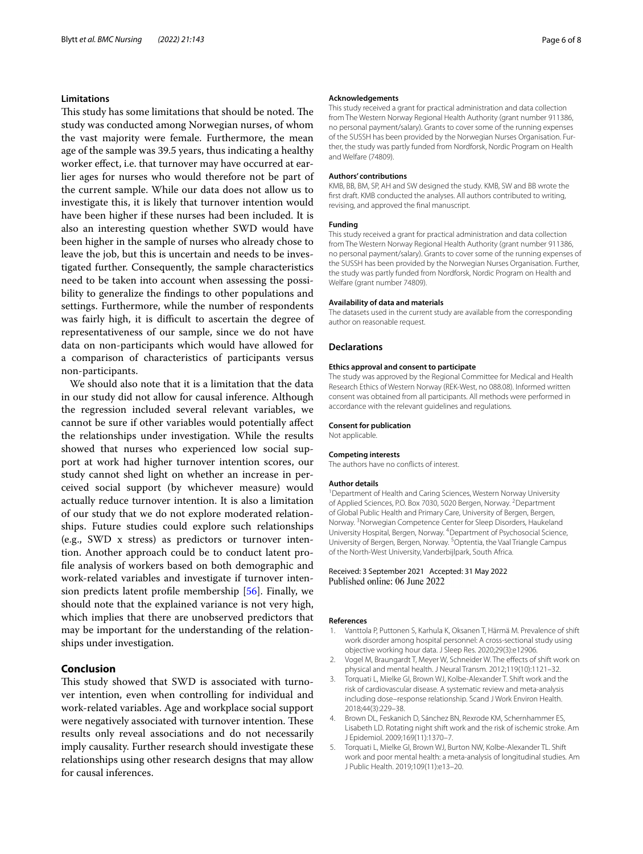## **Limitations**

This study has some limitations that should be noted. The study was conducted among Norwegian nurses, of whom the vast majority were female. Furthermore, the mean age of the sample was 39.5 years, thus indicating a healthy worker effect, i.e. that turnover may have occurred at earlier ages for nurses who would therefore not be part of the current sample. While our data does not allow us to investigate this, it is likely that turnover intention would have been higher if these nurses had been included. It is also an interesting question whether SWD would have been higher in the sample of nurses who already chose to leave the job, but this is uncertain and needs to be investigated further. Consequently, the sample characteristics need to be taken into account when assessing the possibility to generalize the fndings to other populations and settings. Furthermore, while the number of respondents was fairly high, it is difficult to ascertain the degree of representativeness of our sample, since we do not have data on non-participants which would have allowed for a comparison of characteristics of participants versus non-participants.

We should also note that it is a limitation that the data in our study did not allow for causal inference. Although the regression included several relevant variables, we cannot be sure if other variables would potentially afect the relationships under investigation. While the results showed that nurses who experienced low social support at work had higher turnover intention scores, our study cannot shed light on whether an increase in perceived social support (by whichever measure) would actually reduce turnover intention. It is also a limitation of our study that we do not explore moderated relationships. Future studies could explore such relationships (e.g., SWD x stress) as predictors or turnover intention. Another approach could be to conduct latent profle analysis of workers based on both demographic and work-related variables and investigate if turnover intension predicts latent profle membership [\[56](#page-7-2)]. Finally, we should note that the explained variance is not very high, which implies that there are unobserved predictors that may be important for the understanding of the relationships under investigation.

## **Conclusion**

This study showed that SWD is associated with turnover intention, even when controlling for individual and work-related variables. Age and workplace social support were negatively associated with turnover intention. These results only reveal associations and do not necessarily imply causality. Further research should investigate these relationships using other research designs that may allow for causal inferences.

#### **Acknowledgements**

This study received a grant for practical administration and data collection from The Western Norway Regional Health Authority (grant number 911386, no personal payment/salary). Grants to cover some of the running expenses of the SUSSH has been provided by the Norwegian Nurses Organisation. Further, the study was partly funded from Nordforsk, Nordic Program on Health and Welfare (74809).

#### **Authors' contributions**

KMB, BB, BM, SP, AH and SW designed the study. KMB, SW and BB wrote the frst draft. KMB conducted the analyses. All authors contributed to writing, revising, and approved the fnal manuscript.

#### **Funding**

This study received a grant for practical administration and data collection from The Western Norway Regional Health Authority (grant number 911386, no personal payment/salary). Grants to cover some of the running expenses of the SUSSH has been provided by the Norwegian Nurses Organisation. Further, the study was partly funded from Nordforsk, Nordic Program on Health and Welfare (grant number 74809).

#### **Availability of data and materials**

The datasets used in the current study are available from the corresponding author on reasonable request.

#### **Declarations**

#### **Ethics approval and consent to participate**

The study was approved by the Regional Committee for Medical and Health Research Ethics of Western Norway (REK-West, no 088.08). Informed written consent was obtained from all participants. All methods were performed in accordance with the relevant guidelines and regulations.

#### **Consent for publication**

Not applicable.

#### **Competing interests**

The authors have no conficts of interest.

#### **Author details**

<sup>1</sup> Department of Health and Caring Sciences, Western Norway University of Applied Sciences, P.O. Box 7030, 5020 Bergen, Norway. <sup>2</sup> Department of Global Public Health and Primary Care, University of Bergen, Bergen, Norway. <sup>3</sup> Norwegian Competence Center for Sleep Disorders, Haukeland University Hospital, Bergen, Norway. 4 Department of Psychosocial Science, University of Bergen, Bergen, Norway. <sup>5</sup>Optentia, the Vaal Triangle Campus of the North-West University, Vanderbijlpark, South Africa.

#### Received: 3 September 2021 Accepted: 31 May 2022 Published online: 06 June 2022

#### **References**

- <span id="page-5-0"></span>1. Vanttola P, Puttonen S, Karhula K, Oksanen T, Härmä M. Prevalence of shift work disorder among hospital personnel: A cross-sectional study using objective working hour data. J Sleep Res. 2020;29(3):e12906.
- <span id="page-5-1"></span>2. Vogel M, Braungardt T, Meyer W, Schneider W. The effects of shift work on physical and mental health. J Neural Transm. 2012;119(10):1121–32.
- <span id="page-5-2"></span>3. Torquati L, Mielke GI, Brown WJ, Kolbe-Alexander T. Shift work and the risk of cardiovascular disease. A systematic review and meta-analysis including dose–response relationship. Scand J Work Environ Health. 2018;44(3):229–38.
- <span id="page-5-3"></span>4. Brown DL, Feskanich D, Sánchez BN, Rexrode KM, Schernhammer ES, Lisabeth LD. Rotating night shift work and the risk of ischemic stroke. Am J Epidemiol. 2009;169(11):1370–7.
- <span id="page-5-4"></span>5. Torquati L, Mielke GI, Brown WJ, Burton NW, Kolbe-Alexander TL. Shift work and poor mental health: a meta-analysis of longitudinal studies. Am J Public Health. 2019;109(11):e13–20.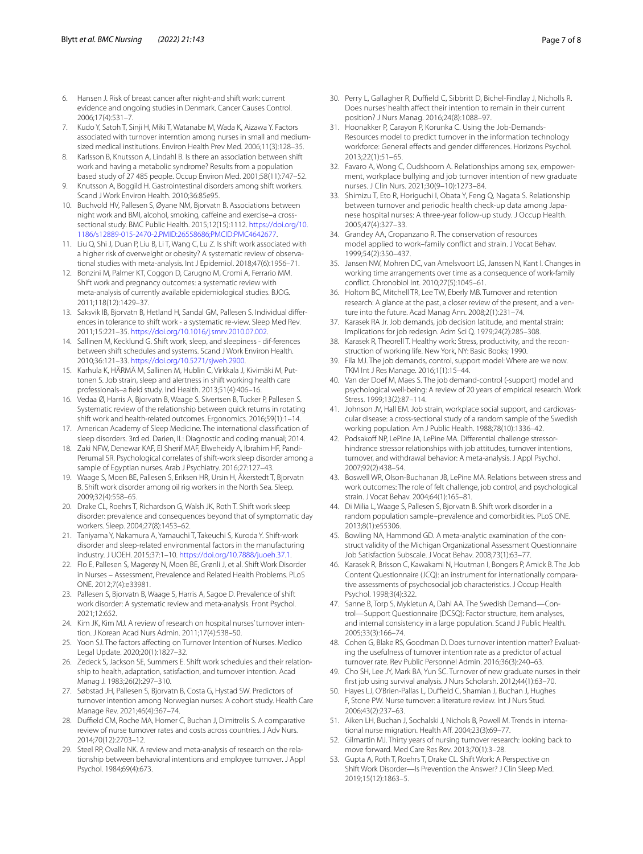- <span id="page-6-0"></span>6. Hansen J. Risk of breast cancer after night-and shift work: current evidence and ongoing studies in Denmark. Cancer Causes Control. 2006;17(4):531–7.
- <span id="page-6-1"></span>7. Kudo Y, Satoh T, Sinji H, Miki T, Watanabe M, Wada K, Aizawa Y. Factors associated with turnover interntion among nurses in small and mediumsized medical institutions. Environ Health Prev Med. 2006;11(3):128–35.
- <span id="page-6-2"></span>8. Karlsson B, Knutsson A, Lindahl B. Is there an association between shift work and having a metabolic syndrome? Results from a population based study of 27 485 people. Occup Environ Med. 2001;58(11):747–52.
- <span id="page-6-3"></span>9. Knutsson A, Boggild H. Gastrointestinal disorders among shift workers. Scand J Work Environ Health. 2010;36:85e95.
- <span id="page-6-4"></span>10. Buchvold HV, Pallesen S, Øyane NM, Bjorvatn B. Associations between night work and BMI, alcohol, smoking, cafeine and exercise–a crosssectional study. BMC Public Health. 2015;12(15):1112. [https://doi.org/10.](https://doi.org/10.1186/s12889-015-2470-2.PMID:26558686;PMCID:PMC4642677) [1186/s12889-015-2470-2.PMID:26558686;PMCID:PMC4642677](https://doi.org/10.1186/s12889-015-2470-2.PMID:26558686;PMCID:PMC4642677).
- <span id="page-6-5"></span>11. Liu Q, Shi J, Duan P, Liu B, Li T, Wang C, Lu Z. Is shift work associated with a higher risk of overweight or obesity? A systematic review of observational studies with meta-analysis. Int J Epidemiol. 2018;47(6):1956–71.
- <span id="page-6-6"></span>12. Bonzini M, Palmer KT, Coggon D, Carugno M, Cromi A, Ferrario MM. Shift work and pregnancy outcomes: a systematic review with meta-analysis of currently available epidemiological studies. BJOG. 2011;118(12):1429–37.
- <span id="page-6-7"></span>13. Saksvik IB, Bjorvatn B, Hetland H, Sandal GM, Pallesen S. Individual diferences in tolerance to shift work - a systematic re-view. Sleep Med Rev. 2011;15:221–35.<https://doi.org/10.1016/j.smrv.2010.07.002>.
- <span id="page-6-8"></span>14. Sallinen M, Kecklund G. Shift work, sleep, and sleepiness - dif-ferences between shift schedules and systems. Scand J Work Environ Health. 2010;36:121–33.<https://doi.org/10.5271/sjweh.2900>.
- 15. Karhula K, HÄRMÄ M, Sallinen M, Hublin C, Virkkala J, Kivimäki M, Puttonen S. Job strain, sleep and alertness in shift working health care professionals–a feld study. Ind Health. 2013;51(4):406–16.
- <span id="page-6-9"></span>16. Vedaa Ø, Harris A, Bjorvatn B, Waage S, Sivertsen B, Tucker P, Pallesen S. Systematic review of the relationship between quick returns in rotating shift work and health-related outcomes. Ergonomics. 2016;59(1):1–14.
- <span id="page-6-10"></span>17. American Academy of Sleep Medicine. The international classifcation of sleep disorders. 3rd ed. Darien, IL: Diagnostic and coding manual; 2014.
- <span id="page-6-11"></span>18. Zaki NFW, Denewar KAF, El Sherif MAF, Elweheidy A, Ibrahim HF, Pandi-Perumal SR. Psychological correlates of shift-work sleep disorder among a sample of Egyptian nurses. Arab J Psychiatry. 2016;27:127–43.
- <span id="page-6-35"></span>19. Waage S, Moen BE, Pallesen S, Eriksen HR, Ursin H, Åkerstedt T, Bjorvatn B. Shift work disorder among oil rig workers in the North Sea. Sleep. 2009;32(4):558–65.
- 20. Drake CL, Roehrs T, Richardson G, Walsh JK, Roth T. Shift work sleep disorder: prevalence and consequences beyond that of symptomatic day workers. Sleep. 2004;27(8):1453–62.
- <span id="page-6-12"></span>21. Taniyama Y, Nakamura A, Yamauchi T, Takeuchi S, Kuroda Y. Shift-work disorder and sleep-related environmental factors in the manufacturing industry. J UOEH. 2015;37:1–10. [https://doi.org/10.7888/juoeh.37.1.](https://doi.org/10.7888/juoeh.37.1)
- <span id="page-6-13"></span>22. Flo E, Pallesen S, Magerøy N, Moen BE, Grønli J, et al. Shift Work Disorder in Nurses – Assessment, Prevalence and Related Health Problems. PLoS ONE. 2012;7(4):e33981.
- <span id="page-6-14"></span>23. Pallesen S, Bjorvatn B, Waage S, Harris A, Sagoe D. Prevalence of shift work disorder: A systematic review and meta-analysis. Front Psychol. 2021;12:652.
- <span id="page-6-15"></span>24. Kim JK, Kim MJ. A review of research on hospital nurses' turnover intention. J Korean Acad Nurs Admin. 2011;17(4):538–50.
- <span id="page-6-16"></span>25. Yoon SJ. The factors afecting on Turnover Intention of Nurses. Medico Legal Update. 2020;20(1):1827–32.
- <span id="page-6-17"></span>26. Zedeck S, Jackson SE, Summers E. Shift work schedules and their relationship to health, adaptation, satisfaction, and turnover intention. Acad Manag J. 1983;26(2):297–310.
- <span id="page-6-18"></span>27. Søbstad JH, Pallesen S, Bjorvatn B, Costa G, Hystad SW. Predictors of turnover intention among Norwegian nurses: A cohort study. Health Care Manage Rev. 2021;46(4):367–74.
- <span id="page-6-19"></span>28. Duffield CM, Roche MA, Homer C, Buchan J, Dimitrelis S. A comparative review of nurse turnover rates and costs across countries. J Adv Nurs. 2014;70(12):2703–12.
- <span id="page-6-20"></span>29. Steel RP, Ovalle NK. A review and meta-analysis of research on the relationship between behavioral intentions and employee turnover. J Appl Psychol. 1984;69(4):673.
- <span id="page-6-21"></span>30. Perry L, Gallagher R, Duffield C, Sibbritt D, Bichel-Findlay J, Nicholls R. Does nurses' health afect their intention to remain in their current position? J Nurs Manag. 2016;24(8):1088–97.
- <span id="page-6-22"></span>31. Hoonakker P, Carayon P, Korunka C. Using the Job-Demands-Resources model to predict turnover in the information technology workforce: General efects and gender diferences. Horizons Psychol. 2013;22(1):51–65.
- <span id="page-6-23"></span>32. Favaro A, Wong C, Oudshoorn A. Relationships among sex, empowerment, workplace bullying and job turnover intention of new graduate nurses. J Clin Nurs. 2021;30(9–10):1273–84.
- <span id="page-6-24"></span>33. Shimizu T, Eto R, Horiguchi I, Obata Y, Feng Q, Nagata S. Relationship between turnover and periodic health check-up data among Japanese hospital nurses: A three-year follow-up study. J Occup Health. 2005;47(4):327–33.
- <span id="page-6-25"></span>34. Grandey AA, Cropanzano R. The conservation of resources model applied to work–family confict and strain. J Vocat Behav. 1999;54(2):350–437.
- <span id="page-6-26"></span>35. Jansen NW, Mohren DC, van Amelsvoort LG, Janssen N, Kant I. Changes in working time arrangements over time as a consequence of work-family confict. Chronobiol Int. 2010;27(5):1045–61.
- <span id="page-6-27"></span>36. Holtom BC, Mitchell TR, Lee TW, Eberly MB. Turnover and retention research: A glance at the past, a closer review of the present, and a venture into the future. Acad Manag Ann. 2008;2(1):231–74.
- <span id="page-6-28"></span>37. Karasek RA Jr. Job demands, job decision latitude, and mental strain: Implications for job redesign. Adm Sci Q. 1979;24(2):285–308.
- <span id="page-6-31"></span>38. Karasek R, Theorell T. Healthy work: Stress, productivity, and the reconstruction of working life. New York, NY: Basic Books; 1990.
- <span id="page-6-29"></span>39. Fila MJ. The job demands, control, support model: Where are we now. TKM Int J Res Manage. 2016;1(1):15–44.
- <span id="page-6-30"></span>40. Van der Doef M, Maes S. The job demand-control (-support) model and psychological well-being: A review of 20 years of empirical research. Work Stress. 1999;13(2):87–114.
- <span id="page-6-32"></span>41. Johnson JV, Hall EM. Job strain, workplace social support, and cardiovascular disease: a cross-sectional study of a random sample of the Swedish working population. Am J Public Health. 1988;78(10):1336–42.
- <span id="page-6-33"></span>42. Podsakoff NP, LePine JA, LePine MA. Differential challenge stressorhindrance stressor relationships with job attitudes, turnover intentions, turnover, and withdrawal behavior: A meta-analysis. J Appl Psychol. 2007;92(2):438–54.
- <span id="page-6-34"></span>43. Boswell WR, Olson-Buchanan JB, LePine MA. Relations between stress and work outcomes: The role of felt challenge, job control, and psychological strain. J Vocat Behav. 2004;64(1):165–81.
- <span id="page-6-36"></span>44. Di Milia L, Waage S, Pallesen S, Bjorvatn B. Shift work disorder in a random population sample–prevalence and comorbidities. PLoS ONE. 2013;8(1):e55306.
- <span id="page-6-37"></span>45. Bowling NA, Hammond GD. A meta-analytic examination of the construct validity of the Michigan Organizational Assessment Questionnaire Job Satisfaction Subscale. J Vocat Behav. 2008;73(1):63–77.
- <span id="page-6-38"></span>46. Karasek R, Brisson C, Kawakami N, Houtman I, Bongers P, Amick B. The Job Content Questionnaire (JCQ): an instrument for internationally comparative assessments of psychosocial job characteristics. J Occup Health Psychol. 1998;3(4):322.
- <span id="page-6-39"></span>47. Sanne B, Torp S, Mykletun A, Dahl AA. The Swedish Demand—Control—Support Questionnaire (DCSQ): Factor structure, item analyses, and internal consistency in a large population. Scand J Public Health. 2005;33(3):166–74.
- <span id="page-6-40"></span>48. Cohen G, Blake RS, Goodman D. Does turnover intention matter? Evaluating the usefulness of turnover intention rate as a predictor of actual turnover rate. Rev Public Personnel Admin. 2016;36(3):240–63.
- <span id="page-6-41"></span>49. Cho SH, Lee JY, Mark BA, Yun SC. Turnover of new graduate nurses in their frst job using survival analysis. J Nurs Scholarsh. 2012;44(1):63–70.
- <span id="page-6-42"></span>50. Hayes LJ, O'Brien-Pallas L, Duffield C, Shamian J, Buchan J, Hughes F, Stone PW. Nurse turnover: a literature review. Int J Nurs Stud. 2006;43(2):237–63.
- <span id="page-6-43"></span>51. Aiken LH, Buchan J, Sochalski J, Nichols B, Powell M. Trends in international nurse migration. Health Aff. 2004;23(3):69-77.
- <span id="page-6-44"></span>52. Gilmartin MJ. Thirty years of nursing turnover research: looking back to move forward. Med Care Res Rev. 2013;70(1):3–28.
- <span id="page-6-45"></span>53. Gupta A, Roth T, Roehrs T, Drake CL. Shift Work: A Perspective on Shift Work Disorder—Is Prevention the Answer? J Clin Sleep Med. 2019;15(12):1863–5.